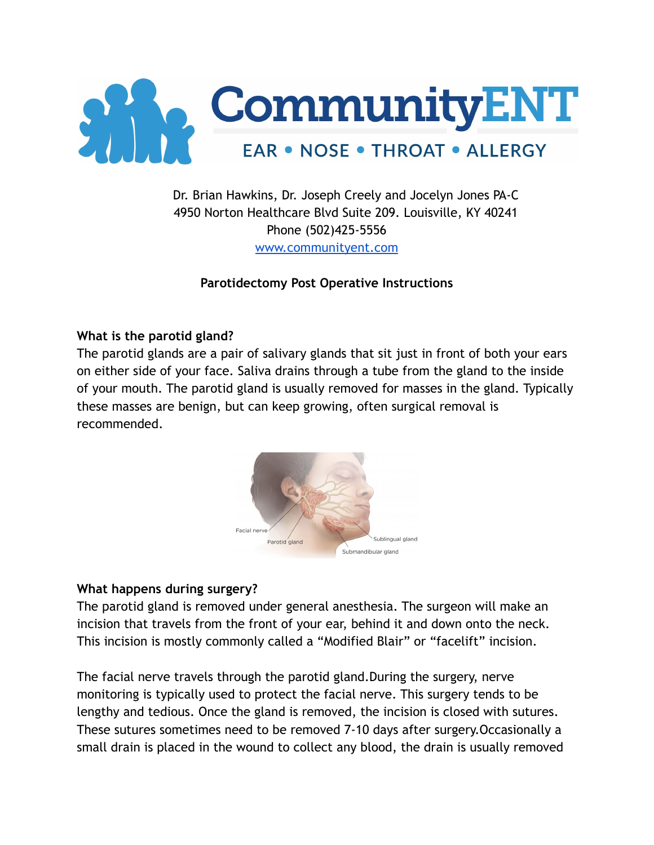

# Dr. Brian Hawkins, Dr. Joseph Creely and Jocelyn Jones PA-C 4950 Norton Healthcare Blvd Suite 209. Louisville, KY 40241 Phone (502)425-5556 [www.communityent.com](http://www.communityent.com)

## **Parotidectomy Post Operative Instructions**

### **What is the parotid gland?**

The parotid glands are a pair of salivary glands that sit just in front of both your ears on either side of your face. Saliva drains through a tube from the gland to the inside of your mouth. The parotid gland is usually removed for masses in the gland. Typically these masses are benign, but can keep growing, often surgical removal is recommended.



## **What happens during surgery?**

The parotid gland is removed under general anesthesia. The surgeon will make an incision that travels from the front of your ear, behind it and down onto the neck. This incision is mostly commonly called a "Modified Blair" or "facelift" incision.

The facial nerve travels through the parotid gland.During the surgery, nerve monitoring is typically used to protect the facial nerve. This surgery tends to be lengthy and tedious. Once the gland is removed, the incision is closed with sutures. These sutures sometimes need to be removed 7-10 days after surgery.Occasionally a small drain is placed in the wound to collect any blood, the drain is usually removed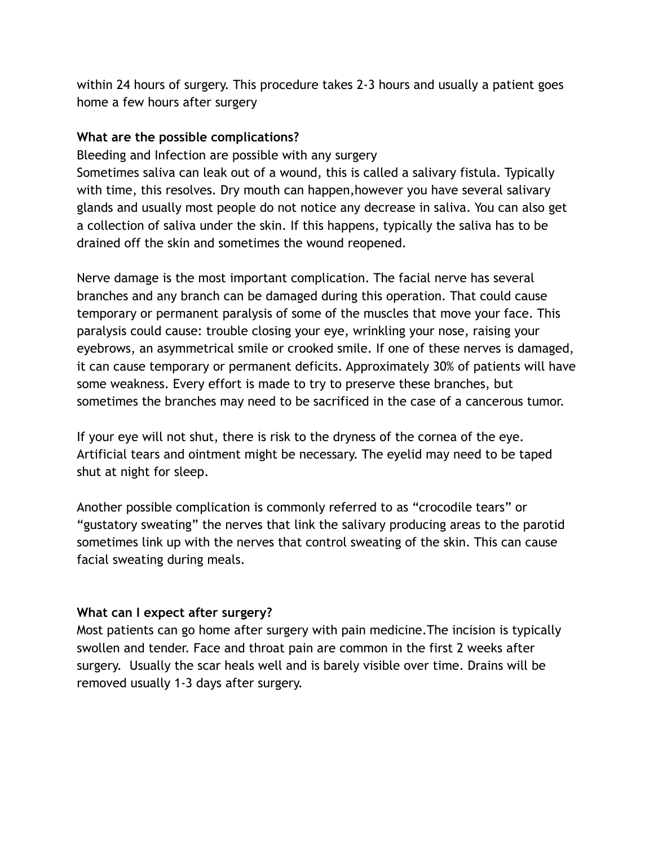within 24 hours of surgery. This procedure takes 2-3 hours and usually a patient goes home a few hours after surgery

## **What are the possible complications?**

Bleeding and Infection are possible with any surgery Sometimes saliva can leak out of a wound, this is called a salivary fistula. Typically with time, this resolves. Dry mouth can happen,however you have several salivary glands and usually most people do not notice any decrease in saliva. You can also get a collection of saliva under the skin. If this happens, typically the saliva has to be drained off the skin and sometimes the wound reopened.

Nerve damage is the most important complication. The facial nerve has several branches and any branch can be damaged during this operation. That could cause temporary or permanent paralysis of some of the muscles that move your face. This paralysis could cause: trouble closing your eye, wrinkling your nose, raising your eyebrows, an asymmetrical smile or crooked smile. If one of these nerves is damaged, it can cause temporary or permanent deficits. Approximately 30% of patients will have some weakness. Every effort is made to try to preserve these branches, but sometimes the branches may need to be sacrificed in the case of a cancerous tumor.

If your eye will not shut, there is risk to the dryness of the cornea of the eye. Artificial tears and ointment might be necessary. The eyelid may need to be taped shut at night for sleep.

Another possible complication is commonly referred to as "crocodile tears" or "gustatory sweating" the nerves that link the salivary producing areas to the parotid sometimes link up with the nerves that control sweating of the skin. This can cause facial sweating during meals.

# **What can I expect after surgery?**

Most patients can go home after surgery with pain medicine.The incision is typically swollen and tender. Face and throat pain are common in the first 2 weeks after surgery. Usually the scar heals well and is barely visible over time. Drains will be removed usually 1-3 days after surgery.